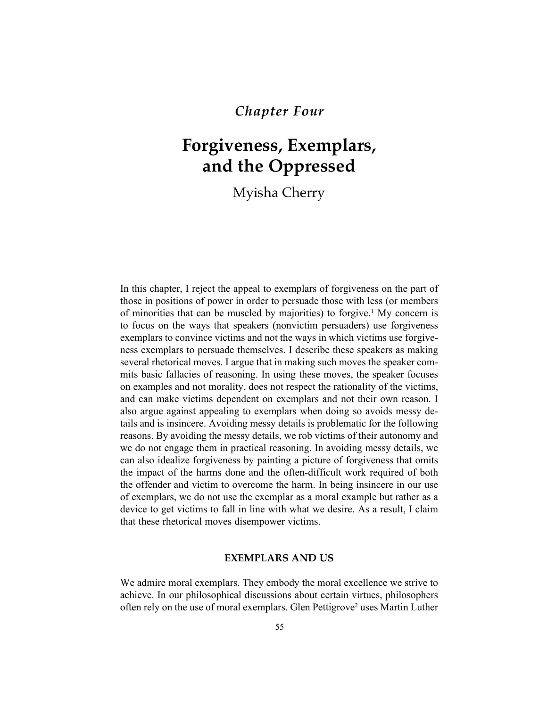## *Chapter Four*

# **Forgiveness, Exemplars, and the Oppressed**

Myisha Cherry

In this chapter, I reject the appeal to exemplars of forgiveness on the part of those in positions of power in order to persuade those with less (or members of minorities that can be muscled by majorities) to forgive.<sup>1</sup> My concern is to focus on the ways that speakers (nonvictim persuaders) use forgiveness exemplars to convince victims and not the ways in which victims use forgiveness exemplars to persuade themselves. I describe these speakers as making several rhetorical moves. I argue that in making such moves the speaker commits basic fallacies of reasoning. In using these moves, the speaker focuses on examples and not morality, does not respect the rationality of the victims, and can make victims dependent on exemplars and not their own reason. I also argue against appealing to exemplars when doing so avoids messy details and is insincere. Avoiding messy details is problematic for the following reasons. By avoiding the messy details, we rob victims of their autonomy and we do not engage them in practical reasoning. In avoiding messy details, we can also idealize forgiveness by painting a picture of forgiveness that omits the impact of the harms done and the often-difficult work required of both the offender and victim to overcome the harm. In being insincere in our use of exemplars, we do not use the exemplar as a moral example but rather as a device to get victims to fall in line with what we desire. As a result, I claim that these rhetorical moves disempower victims.

## **EXEMPLARS AND US**

We admire moral exemplars. They embody the moral excellence we strive to achieve. In our philosophical discussions about certain virtues, philosophers often rely on the use of moral exemplars. Glen Pettigrove<sup>2</sup> uses Martin Luther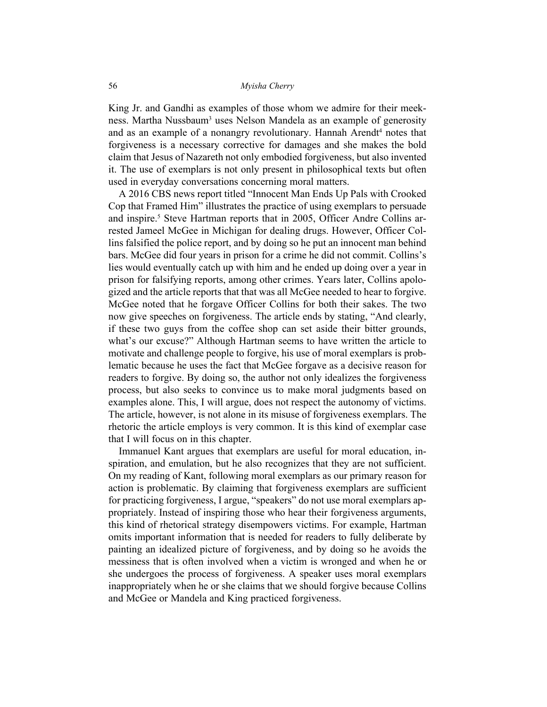King Jr. and Gandhi as examples of those whom we admire for their meekness. Martha Nussbaum<sup>3</sup> uses Nelson Mandela as an example of generosity and as an example of a nonangry revolutionary. Hannah Arendt<sup>4</sup> notes that forgiveness is a necessary corrective for damages and she makes the bold claim that Jesus of Nazareth not only embodied forgiveness, but also invented it. The use of exemplars is not only present in philosophical texts but often used in everyday conversations concerning moral matters.

A 2016 CBS news report titled "Innocent Man Ends Up Pals with Crooked Cop that Framed Him" illustrates the practice of using exemplars to persuade and inspire.<sup>5</sup> Steve Hartman reports that in 2005, Officer Andre Collins arrested Jameel McGee in Michigan for dealing drugs. However, Officer Collins falsified the police report, and by doing so he put an innocent man behind bars. McGee did four years in prison for a crime he did not commit. Collins's lies would eventually catch up with him and he ended up doing over a year in prison for falsifying reports, among other crimes. Years later, Collins apologized and the article reports that that was all McGee needed to hear to forgive. McGee noted that he forgave Officer Collins for both their sakes. The two now give speeches on forgiveness. The article ends by stating, "And clearly, if these two guys from the coffee shop can set aside their bitter grounds, what's our excuse?" Although Hartman seems to have written the article to motivate and challenge people to forgive, his use of moral exemplars is problematic because he uses the fact that McGee forgave as a decisive reason for readers to forgive. By doing so, the author not only idealizes the forgiveness process, but also seeks to convince us to make moral judgments based on examples alone. This, I will argue, does not respect the autonomy of victims. The article, however, is not alone in its misuse of forgiveness exemplars. The rhetoric the article employs is very common. It is this kind of exemplar case that I will focus on in this chapter.

Immanuel Kant argues that exemplars are useful for moral education, inspiration, and emulation, but he also recognizes that they are not sufficient. On my reading of Kant, following moral exemplars as our primary reason for action is problematic. By claiming that forgiveness exemplars are sufficient for practicing forgiveness, I argue, "speakers" do not use moral exemplars appropriately. Instead of inspiring those who hear their forgiveness arguments, this kind of rhetorical strategy disempowers victims. For example, Hartman omits important information that is needed for readers to fully deliberate by painting an idealized picture of forgiveness, and by doing so he avoids the messiness that is often involved when a victim is wronged and when he or she undergoes the process of forgiveness. A speaker uses moral exemplars inappropriately when he or she claims that we should forgive because Collins and McGee or Mandela and King practiced forgiveness.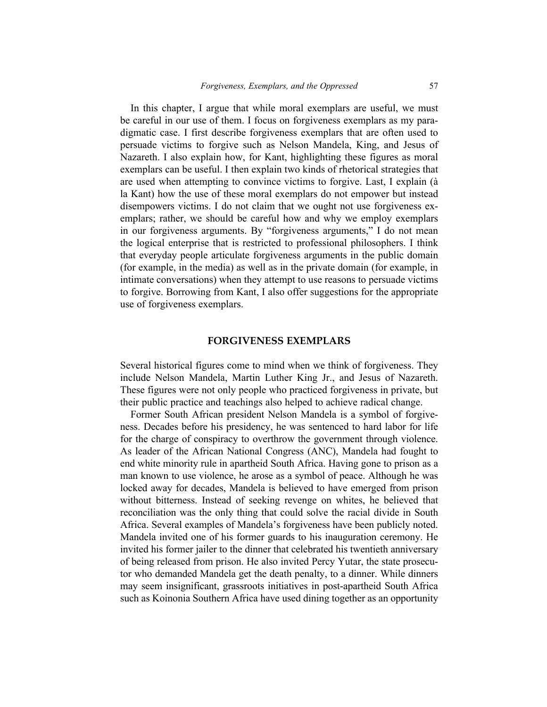In this chapter, I argue that while moral exemplars are useful, we must be careful in our use of them. I focus on forgiveness exemplars as my paradigmatic case. I first describe forgiveness exemplars that are often used to persuade victims to forgive such as Nelson Mandela, King, and Jesus of Nazareth. I also explain how, for Kant, highlighting these figures as moral exemplars can be useful. I then explain two kinds of rhetorical strategies that are used when attempting to convince victims to forgive. Last, I explain (à la Kant) how the use of these moral exemplars do not empower but instead disempowers victims. I do not claim that we ought not use forgiveness exemplars; rather, we should be careful how and why we employ exemplars in our forgiveness arguments. By "forgiveness arguments," I do not mean the logical enterprise that is restricted to professional philosophers. I think that everyday people articulate forgiveness arguments in the public domain (for example, in the media) as well as in the private domain (for example, in intimate conversations) when they attempt to use reasons to persuade victims to forgive. Borrowing from Kant, I also offer suggestions for the appropriate use of forgiveness exemplars.

## **FORGIVENESS EXEMPLARS**

Several historical figures come to mind when we think of forgiveness. They include Nelson Mandela, Martin Luther King Jr., and Jesus of Nazareth. These figures were not only people who practiced forgiveness in private, but their public practice and teachings also helped to achieve radical change.

Former South African president Nelson Mandela is a symbol of forgiveness. Decades before his presidency, he was sentenced to hard labor for life for the charge of conspiracy to overthrow the government through violence. As leader of the African National Congress (ANC), Mandela had fought to end white minority rule in apartheid South Africa. Having gone to prison as a man known to use violence, he arose as a symbol of peace. Although he was locked away for decades, Mandela is believed to have emerged from prison without bitterness. Instead of seeking revenge on whites, he believed that reconciliation was the only thing that could solve the racial divide in South Africa. Several examples of Mandela's forgiveness have been publicly noted. Mandela invited one of his former guards to his inauguration ceremony. He invited his former jailer to the dinner that celebrated his twentieth anniversary of being released from prison. He also invited Percy Yutar, the state prosecutor who demanded Mandela get the death penalty, to a dinner. While dinners may seem insignificant, grassroots initiatives in post-apartheid South Africa such as Koinonia Southern Africa have used dining together as an opportunity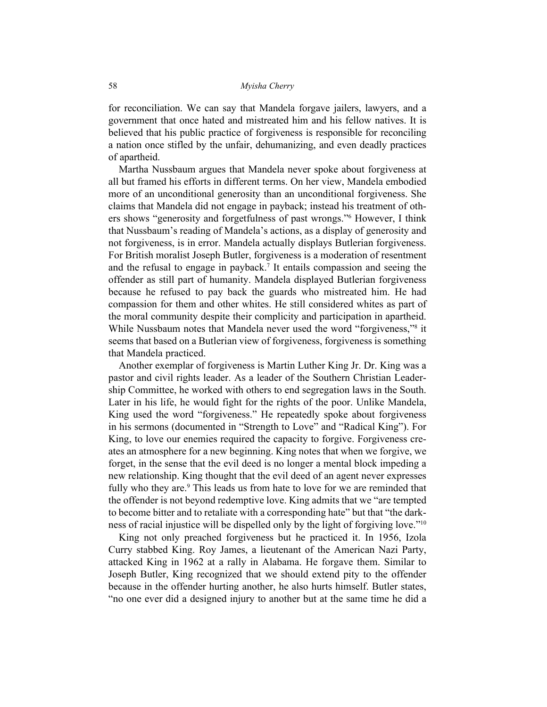for reconciliation. We can say that Mandela forgave jailers, lawyers, and a government that once hated and mistreated him and his fellow natives. It is believed that his public practice of forgiveness is responsible for reconciling a nation once stifled by the unfair, dehumanizing, and even deadly practices of apartheid.

Martha Nussbaum argues that Mandela never spoke about forgiveness at all but framed his efforts in different terms. On her view, Mandela embodied more of an unconditional generosity than an unconditional forgiveness. She claims that Mandela did not engage in payback; instead his treatment of others shows "generosity and forgetfulness of past wrongs."6 However, I think that Nussbaum's reading of Mandela's actions, as a display of generosity and not forgiveness, is in error. Mandela actually displays Butlerian forgiveness. For British moralist Joseph Butler, forgiveness is a moderation of resentment and the refusal to engage in payback.<sup>7</sup> It entails compassion and seeing the offender as still part of humanity. Mandela displayed Butlerian forgiveness because he refused to pay back the guards who mistreated him. He had compassion for them and other whites. He still considered whites as part of the moral community despite their complicity and participation in apartheid. While Nussbaum notes that Mandela never used the word "forgiveness,"<sup>8</sup> it seems that based on a Butlerian view of forgiveness, forgiveness is something that Mandela practiced.

Another exemplar of forgiveness is Martin Luther King Jr. Dr. King was a pastor and civil rights leader. As a leader of the Southern Christian Leadership Committee, he worked with others to end segregation laws in the South. Later in his life, he would fight for the rights of the poor. Unlike Mandela, King used the word "forgiveness." He repeatedly spoke about forgiveness in his sermons (documented in "Strength to Love" and "Radical King"). For King, to love our enemies required the capacity to forgive. Forgiveness creates an atmosphere for a new beginning. King notes that when we forgive, we forget, in the sense that the evil deed is no longer a mental block impeding a new relationship. King thought that the evil deed of an agent never expresses fully who they are.<sup>9</sup> This leads us from hate to love for we are reminded that the offender is not beyond redemptive love. King admits that we "are tempted to become bitter and to retaliate with a corresponding hate" but that "the darkness of racial injustice will be dispelled only by the light of forgiving love."10

King not only preached forgiveness but he practiced it. In 1956, Izola Curry stabbed King. Roy James, a lieutenant of the American Nazi Party, attacked King in 1962 at a rally in Alabama. He forgave them. Similar to Joseph Butler, King recognized that we should extend pity to the offender because in the offender hurting another, he also hurts himself. Butler states, "no one ever did a designed injury to another but at the same time he did a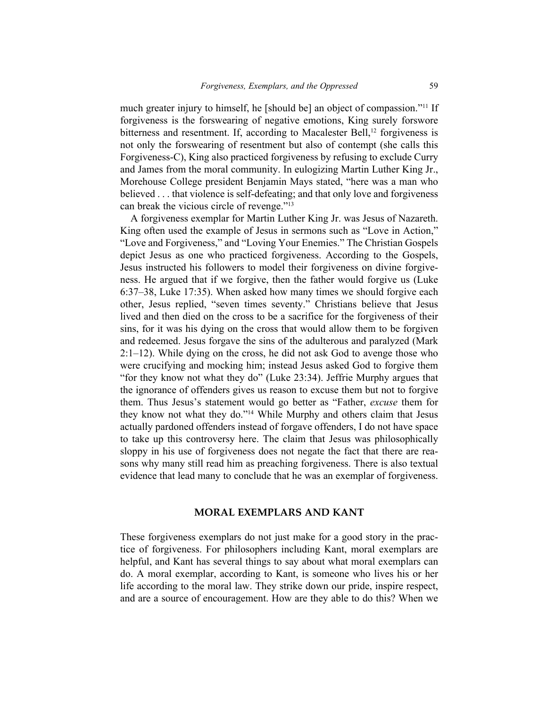much greater injury to himself, he [should be] an object of compassion."<sup>11</sup> If forgiveness is the forswearing of negative emotions, King surely forswore bitterness and resentment. If, according to Macalester Bell,<sup>12</sup> forgiveness is not only the forswearing of resentment but also of contempt (she calls this Forgiveness-C), King also practiced forgiveness by refusing to exclude Curry and James from the moral community. In eulogizing Martin Luther King Jr., Morehouse College president Benjamin Mays stated, "here was a man who believed . . . that violence is self-defeating; and that only love and forgiveness can break the vicious circle of revenge."13

A forgiveness exemplar for Martin Luther King Jr. was Jesus of Nazareth. King often used the example of Jesus in sermons such as "Love in Action," "Love and Forgiveness," and "Loving Your Enemies." The Christian Gospels depict Jesus as one who practiced forgiveness. According to the Gospels, Jesus instructed his followers to model their forgiveness on divine forgiveness. He argued that if we forgive, then the father would forgive us (Luke 6:37–38, Luke 17:35). When asked how many times we should forgive each other, Jesus replied, "seven times seventy." Christians believe that Jesus lived and then died on the cross to be a sacrifice for the forgiveness of their sins, for it was his dying on the cross that would allow them to be forgiven and redeemed. Jesus forgave the sins of the adulterous and paralyzed (Mark 2:1–12). While dying on the cross, he did not ask God to avenge those who were crucifying and mocking him; instead Jesus asked God to forgive them "for they know not what they do" (Luke 23:34). Jeffrie Murphy argues that the ignorance of offenders gives us reason to excuse them but not to forgive them. Thus Jesus's statement would go better as "Father, *excuse* them for they know not what they do."14 While Murphy and others claim that Jesus actually pardoned offenders instead of forgave offenders, I do not have space to take up this controversy here. The claim that Jesus was philosophically sloppy in his use of forgiveness does not negate the fact that there are reasons why many still read him as preaching forgiveness. There is also textual evidence that lead many to conclude that he was an exemplar of forgiveness.

## **MORAL EXEMPLARS AND KANT**

These forgiveness exemplars do not just make for a good story in the practice of forgiveness. For philosophers including Kant, moral exemplars are helpful, and Kant has several things to say about what moral exemplars can do. A moral exemplar, according to Kant, is someone who lives his or her life according to the moral law. They strike down our pride, inspire respect, and are a source of encouragement. How are they able to do this? When we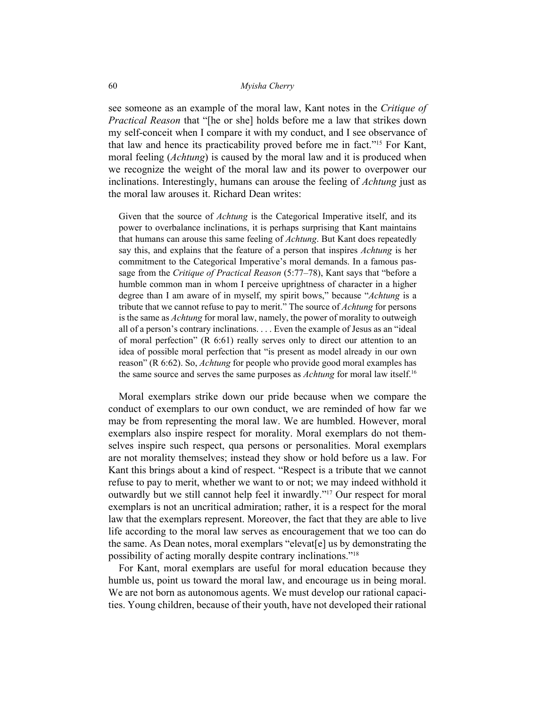see someone as an example of the moral law, Kant notes in the *Critique of Practical Reason* that "[he or she] holds before me a law that strikes down my self-conceit when I compare it with my conduct, and I see observance of that law and hence its practicability proved before me in fact."15 For Kant, moral feeling (*Achtung*) is caused by the moral law and it is produced when we recognize the weight of the moral law and its power to overpower our inclinations. Interestingly, humans can arouse the feeling of *Achtung* just as the moral law arouses it. Richard Dean writes:

Given that the source of *Achtung* is the Categorical Imperative itself, and its power to overbalance inclinations, it is perhaps surprising that Kant maintains that humans can arouse this same feeling of *Achtung*. But Kant does repeatedly say this, and explains that the feature of a person that inspires *Achtung* is her commitment to the Categorical Imperative's moral demands. In a famous passage from the *Critique of Practical Reason* (5:77–78), Kant says that "before a humble common man in whom I perceive uprightness of character in a higher degree than I am aware of in myself, my spirit bows," because "*Achtung* is a tribute that we cannot refuse to pay to merit." The source of *Achtung* for persons is the same as *Achtung* for moral law, namely, the power of morality to outweigh all of a person's contrary inclinations. . . . Even the example of Jesus as an "ideal of moral perfection" (R 6:61) really serves only to direct our attention to an idea of possible moral perfection that "is present as model already in our own reason" (R 6:62). So, *Achtung* for people who provide good moral examples has the same source and serves the same purposes as *Achtung* for moral law itself.16

Moral exemplars strike down our pride because when we compare the conduct of exemplars to our own conduct, we are reminded of how far we may be from representing the moral law. We are humbled. However, moral exemplars also inspire respect for morality. Moral exemplars do not themselves inspire such respect, qua persons or personalities. Moral exemplars are not morality themselves; instead they show or hold before us a law. For Kant this brings about a kind of respect. "Respect is a tribute that we cannot refuse to pay to merit, whether we want to or not; we may indeed withhold it outwardly but we still cannot help feel it inwardly."17 Our respect for moral exemplars is not an uncritical admiration; rather, it is a respect for the moral law that the exemplars represent. Moreover, the fact that they are able to live life according to the moral law serves as encouragement that we too can do the same. As Dean notes, moral exemplars "elevat[e] us by demonstrating the possibility of acting morally despite contrary inclinations."18

For Kant, moral exemplars are useful for moral education because they humble us, point us toward the moral law, and encourage us in being moral. We are not born as autonomous agents. We must develop our rational capacities. Young children, because of their youth, have not developed their rational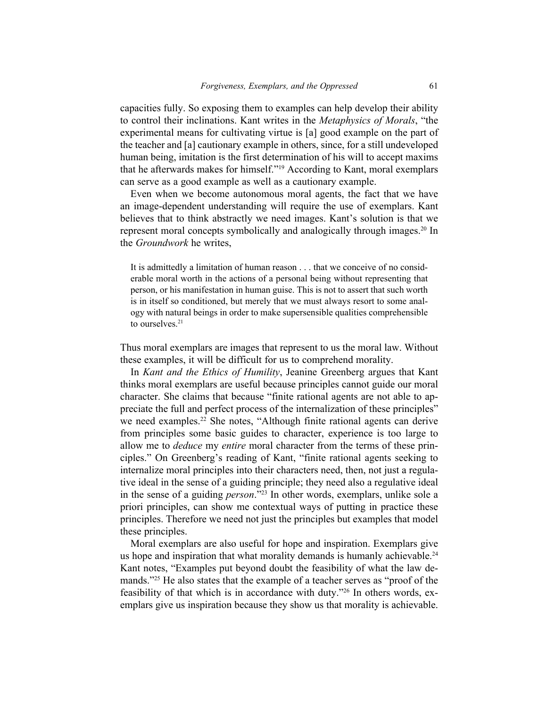capacities fully. So exposing them to examples can help develop their ability to control their inclinations. Kant writes in the *Metaphysics of Morals*, "the experimental means for cultivating virtue is [a] good example on the part of the teacher and [a] cautionary example in others, since, for a still undeveloped human being, imitation is the first determination of his will to accept maxims that he afterwards makes for himself."19 According to Kant, moral exemplars can serve as a good example as well as a cautionary example.

Even when we become autonomous moral agents, the fact that we have an image-dependent understanding will require the use of exemplars. Kant believes that to think abstractly we need images. Kant's solution is that we represent moral concepts symbolically and analogically through images.20 In the *Groundwork* he writes,

It is admittedly a limitation of human reason . . . that we conceive of no considerable moral worth in the actions of a personal being without representing that person, or his manifestation in human guise. This is not to assert that such worth is in itself so conditioned, but merely that we must always resort to some analogy with natural beings in order to make supersensible qualities comprehensible to ourselves<sup>21</sup>

Thus moral exemplars are images that represent to us the moral law. Without these examples, it will be difficult for us to comprehend morality.

In *Kant and the Ethics of Humility*, Jeanine Greenberg argues that Kant thinks moral exemplars are useful because principles cannot guide our moral character. She claims that because "finite rational agents are not able to appreciate the full and perfect process of the internalization of these principles" we need examples.<sup>22</sup> She notes, "Although finite rational agents can derive from principles some basic guides to character, experience is too large to allow me to *deduce* my *entire* moral character from the terms of these principles." On Greenberg's reading of Kant, "finite rational agents seeking to internalize moral principles into their characters need, then, not just a regulative ideal in the sense of a guiding principle; they need also a regulative ideal in the sense of a guiding *person*."23 In other words, exemplars, unlike sole a priori principles, can show me contextual ways of putting in practice these principles. Therefore we need not just the principles but examples that model these principles.

Moral exemplars are also useful for hope and inspiration. Exemplars give us hope and inspiration that what morality demands is humanly achievable.<sup>24</sup> Kant notes, "Examples put beyond doubt the feasibility of what the law demands."25 He also states that the example of a teacher serves as "proof of the feasibility of that which is in accordance with duty."26 In others words, exemplars give us inspiration because they show us that morality is achievable.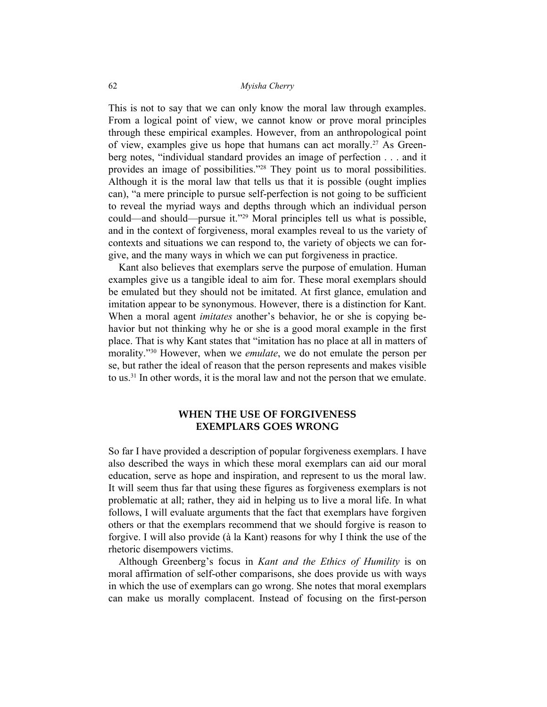This is not to say that we can only know the moral law through examples. From a logical point of view, we cannot know or prove moral principles through these empirical examples. However, from an anthropological point of view, examples give us hope that humans can act morally.27 As Greenberg notes, "individual standard provides an image of perfection . . . and it provides an image of possibilities."28 They point us to moral possibilities. Although it is the moral law that tells us that it is possible (ought implies can), "a mere principle to pursue self-perfection is not going to be sufficient to reveal the myriad ways and depths through which an individual person could—and should—pursue it."29 Moral principles tell us what is possible, and in the context of forgiveness, moral examples reveal to us the variety of contexts and situations we can respond to, the variety of objects we can forgive, and the many ways in which we can put forgiveness in practice.

Kant also believes that exemplars serve the purpose of emulation. Human examples give us a tangible ideal to aim for. These moral exemplars should be emulated but they should not be imitated. At first glance, emulation and imitation appear to be synonymous. However, there is a distinction for Kant. When a moral agent *imitates* another's behavior, he or she is copying behavior but not thinking why he or she is a good moral example in the first place. That is why Kant states that "imitation has no place at all in matters of morality."30 However, when we *emulate*, we do not emulate the person per se, but rather the ideal of reason that the person represents and makes visible to us.31 In other words, it is the moral law and not the person that we emulate.

## **WHEN THE USE OF FORGIVENESS EXEMPLARS GOES WRONG**

So far I have provided a description of popular forgiveness exemplars. I have also described the ways in which these moral exemplars can aid our moral education, serve as hope and inspiration, and represent to us the moral law. It will seem thus far that using these figures as forgiveness exemplars is not problematic at all; rather, they aid in helping us to live a moral life. In what follows, I will evaluate arguments that the fact that exemplars have forgiven others or that the exemplars recommend that we should forgive is reason to forgive. I will also provide (à la Kant) reasons for why I think the use of the rhetoric disempowers victims.

Although Greenberg's focus in *Kant and the Ethics of Humility* is on moral affirmation of self-other comparisons, she does provide us with ways in which the use of exemplars can go wrong. She notes that moral exemplars can make us morally complacent. Instead of focusing on the first-person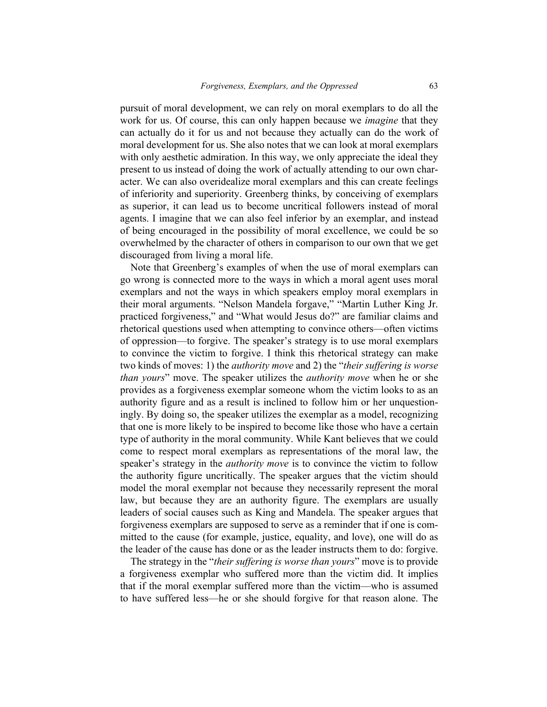pursuit of moral development, we can rely on moral exemplars to do all the work for us. Of course, this can only happen because we *imagine* that they can actually do it for us and not because they actually can do the work of moral development for us. She also notes that we can look at moral exemplars with only aesthetic admiration. In this way, we only appreciate the ideal they present to us instead of doing the work of actually attending to our own character. We can also overidealize moral exemplars and this can create feelings of inferiority and superiority. Greenberg thinks, by conceiving of exemplars as superior, it can lead us to become uncritical followers instead of moral agents. I imagine that we can also feel inferior by an exemplar, and instead of being encouraged in the possibility of moral excellence, we could be so overwhelmed by the character of others in comparison to our own that we get discouraged from living a moral life.

Note that Greenberg's examples of when the use of moral exemplars can go wrong is connected more to the ways in which a moral agent uses moral exemplars and not the ways in which speakers employ moral exemplars in their moral arguments. "Nelson Mandela forgave," "Martin Luther King Jr. practiced forgiveness," and "What would Jesus do?" are familiar claims and rhetorical questions used when attempting to convince others—often victims of oppression—to forgive. The speaker's strategy is to use moral exemplars to convince the victim to forgive. I think this rhetorical strategy can make two kinds of moves: 1) the *authority move* and 2) the "*their suffering is worse than yours*" move. The speaker utilizes the *authority move* when he or she provides as a forgiveness exemplar someone whom the victim looks to as an authority figure and as a result is inclined to follow him or her unquestioningly. By doing so, the speaker utilizes the exemplar as a model, recognizing that one is more likely to be inspired to become like those who have a certain type of authority in the moral community. While Kant believes that we could come to respect moral exemplars as representations of the moral law, the speaker's strategy in the *authority move* is to convince the victim to follow the authority figure uncritically. The speaker argues that the victim should model the moral exemplar not because they necessarily represent the moral law, but because they are an authority figure. The exemplars are usually leaders of social causes such as King and Mandela. The speaker argues that forgiveness exemplars are supposed to serve as a reminder that if one is committed to the cause (for example, justice, equality, and love), one will do as the leader of the cause has done or as the leader instructs them to do: forgive.

The strategy in the "*their suffering is worse than yours*" move is to provide a forgiveness exemplar who suffered more than the victim did. It implies that if the moral exemplar suffered more than the victim—who is assumed to have suffered less—he or she should forgive for that reason alone. The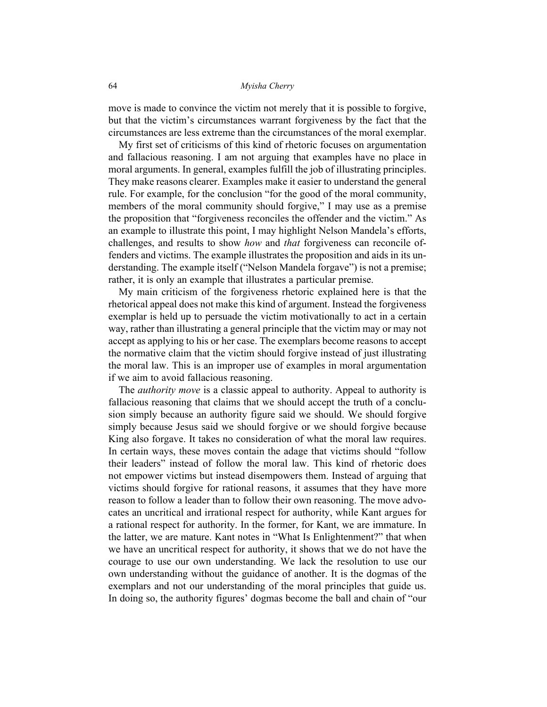move is made to convince the victim not merely that it is possible to forgive, but that the victim's circumstances warrant forgiveness by the fact that the circumstances are less extreme than the circumstances of the moral exemplar.

My first set of criticisms of this kind of rhetoric focuses on argumentation and fallacious reasoning. I am not arguing that examples have no place in moral arguments. In general, examples fulfill the job of illustrating principles. They make reasons clearer. Examples make it easier to understand the general rule. For example, for the conclusion "for the good of the moral community, members of the moral community should forgive," I may use as a premise the proposition that "forgiveness reconciles the offender and the victim." As an example to illustrate this point, I may highlight Nelson Mandela's efforts, challenges, and results to show *how* and *that* forgiveness can reconcile offenders and victims. The example illustrates the proposition and aids in its understanding. The example itself ("Nelson Mandela forgave") is not a premise; rather, it is only an example that illustrates a particular premise.

My main criticism of the forgiveness rhetoric explained here is that the rhetorical appeal does not make this kind of argument. Instead the forgiveness exemplar is held up to persuade the victim motivationally to act in a certain way, rather than illustrating a general principle that the victim may or may not accept as applying to his or her case. The exemplars become reasons to accept the normative claim that the victim should forgive instead of just illustrating the moral law. This is an improper use of examples in moral argumentation if we aim to avoid fallacious reasoning.

The *authority move* is a classic appeal to authority. Appeal to authority is fallacious reasoning that claims that we should accept the truth of a conclusion simply because an authority figure said we should. We should forgive simply because Jesus said we should forgive or we should forgive because King also forgave. It takes no consideration of what the moral law requires. In certain ways, these moves contain the adage that victims should "follow their leaders" instead of follow the moral law. This kind of rhetoric does not empower victims but instead disempowers them. Instead of arguing that victims should forgive for rational reasons, it assumes that they have more reason to follow a leader than to follow their own reasoning. The move advocates an uncritical and irrational respect for authority, while Kant argues for a rational respect for authority. In the former, for Kant, we are immature. In the latter, we are mature. Kant notes in "What Is Enlightenment?" that when we have an uncritical respect for authority, it shows that we do not have the courage to use our own understanding. We lack the resolution to use our own understanding without the guidance of another. It is the dogmas of the exemplars and not our understanding of the moral principles that guide us. In doing so, the authority figures' dogmas become the ball and chain of "our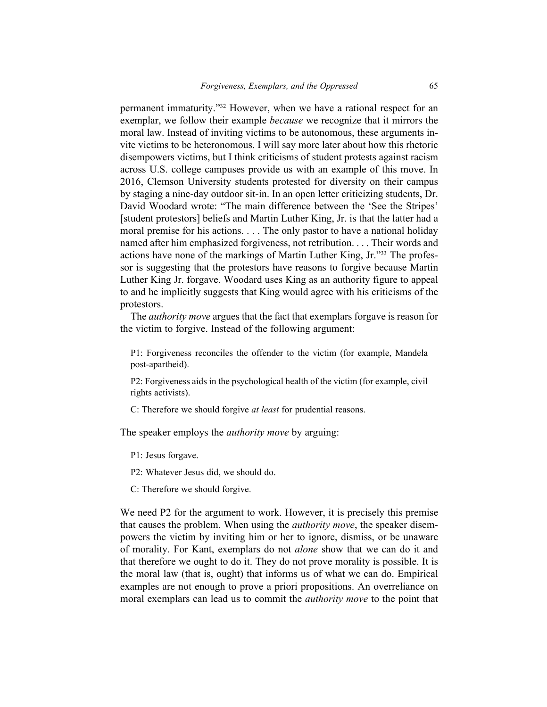permanent immaturity."32 However, when we have a rational respect for an exemplar, we follow their example *because* we recognize that it mirrors the moral law. Instead of inviting victims to be autonomous, these arguments invite victims to be heteronomous. I will say more later about how this rhetoric disempowers victims, but I think criticisms of student protests against racism across U.S. college campuses provide us with an example of this move. In 2016, Clemson University students protested for diversity on their campus by staging a nine-day outdoor sit-in. In an open letter criticizing students, Dr. David Woodard wrote: "The main difference between the 'See the Stripes' [student protestors] beliefs and Martin Luther King, Jr. is that the latter had a moral premise for his actions. . . . The only pastor to have a national holiday named after him emphasized forgiveness, not retribution. . . . Their words and actions have none of the markings of Martin Luther King, Jr."33 The professor is suggesting that the protestors have reasons to forgive because Martin Luther King Jr. forgave. Woodard uses King as an authority figure to appeal to and he implicitly suggests that King would agree with his criticisms of the protestors.

The *authority move* argues that the fact that exemplars forgave is reason for the victim to forgive. Instead of the following argument:

P1: Forgiveness reconciles the offender to the victim (for example, Mandela post-apartheid).

P2: Forgiveness aids in the psychological health of the victim (for example, civil rights activists).

C: Therefore we should forgive *at least* for prudential reasons.

The speaker employs the *authority move* by arguing:

P1: Jesus forgave.

P2: Whatever Jesus did, we should do.

C: Therefore we should forgive.

We need P2 for the argument to work. However, it is precisely this premise that causes the problem. When using the *authority move*, the speaker disempowers the victim by inviting him or her to ignore, dismiss, or be unaware of morality. For Kant, exemplars do not *alone* show that we can do it and that therefore we ought to do it. They do not prove morality is possible. It is the moral law (that is, ought) that informs us of what we can do. Empirical examples are not enough to prove a priori propositions. An overreliance on moral exemplars can lead us to commit the *authority move* to the point that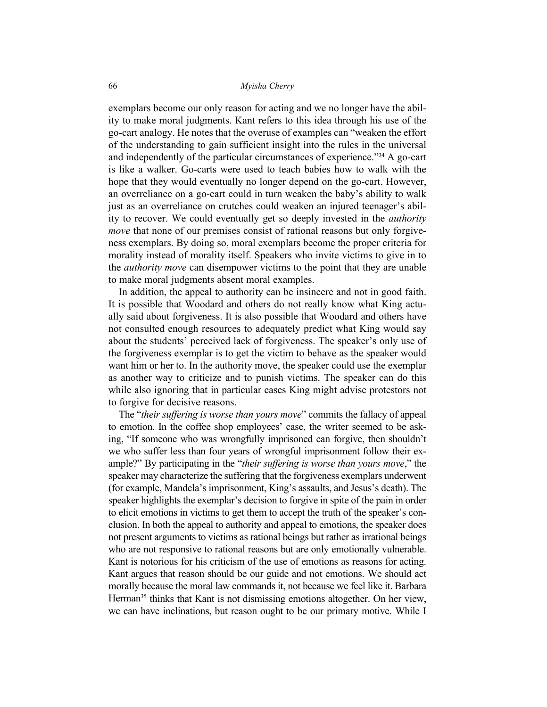exemplars become our only reason for acting and we no longer have the ability to make moral judgments. Kant refers to this idea through his use of the go-cart analogy. He notes that the overuse of examples can "weaken the effort of the understanding to gain sufficient insight into the rules in the universal and independently of the particular circumstances of experience."34 A go-cart is like a walker. Go-carts were used to teach babies how to walk with the hope that they would eventually no longer depend on the go-cart. However, an overreliance on a go-cart could in turn weaken the baby's ability to walk just as an overreliance on crutches could weaken an injured teenager's ability to recover. We could eventually get so deeply invested in the *authority move* that none of our premises consist of rational reasons but only forgiveness exemplars. By doing so, moral exemplars become the proper criteria for morality instead of morality itself. Speakers who invite victims to give in to the *authority move* can disempower victims to the point that they are unable to make moral judgments absent moral examples.

In addition, the appeal to authority can be insincere and not in good faith. It is possible that Woodard and others do not really know what King actually said about forgiveness. It is also possible that Woodard and others have not consulted enough resources to adequately predict what King would say about the students' perceived lack of forgiveness. The speaker's only use of the forgiveness exemplar is to get the victim to behave as the speaker would want him or her to. In the authority move, the speaker could use the exemplar as another way to criticize and to punish victims. The speaker can do this while also ignoring that in particular cases King might advise protestors not to forgive for decisive reasons.

The "*their suffering is worse than yours move*" commits the fallacy of appeal to emotion. In the coffee shop employees' case, the writer seemed to be asking, "If someone who was wrongfully imprisoned can forgive, then shouldn't we who suffer less than four years of wrongful imprisonment follow their example?" By participating in the "*their suffering is worse than yours move*," the speaker may characterize the suffering that the forgiveness exemplars underwent (for example, Mandela's imprisonment, King's assaults, and Jesus's death). The speaker highlights the exemplar's decision to forgive in spite of the pain in order to elicit emotions in victims to get them to accept the truth of the speaker's conclusion. In both the appeal to authority and appeal to emotions, the speaker does not present arguments to victims as rational beings but rather as irrational beings who are not responsive to rational reasons but are only emotionally vulnerable. Kant is notorious for his criticism of the use of emotions as reasons for acting. Kant argues that reason should be our guide and not emotions. We should act morally because the moral law commands it, not because we feel like it. Barbara Herman<sup>35</sup> thinks that Kant is not dismissing emotions altogether. On her view, we can have inclinations, but reason ought to be our primary motive. While I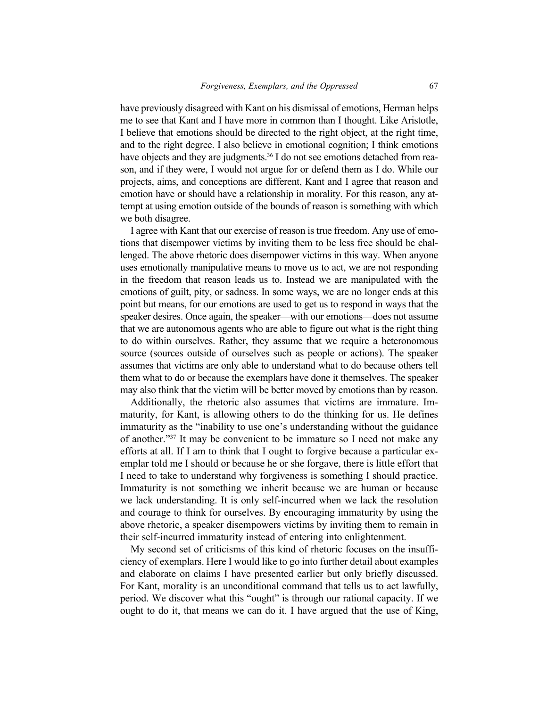have previously disagreed with Kant on his dismissal of emotions, Herman helps me to see that Kant and I have more in common than I thought. Like Aristotle, I believe that emotions should be directed to the right object, at the right time, and to the right degree. I also believe in emotional cognition; I think emotions have objects and they are judgments.<sup>36</sup> I do not see emotions detached from reason, and if they were, I would not argue for or defend them as I do. While our projects, aims, and conceptions are different, Kant and I agree that reason and emotion have or should have a relationship in morality. For this reason, any attempt at using emotion outside of the bounds of reason is something with which we both disagree.

I agree with Kant that our exercise of reason is true freedom. Any use of emotions that disempower victims by inviting them to be less free should be challenged. The above rhetoric does disempower victims in this way. When anyone uses emotionally manipulative means to move us to act, we are not responding in the freedom that reason leads us to. Instead we are manipulated with the emotions of guilt, pity, or sadness. In some ways, we are no longer ends at this point but means, for our emotions are used to get us to respond in ways that the speaker desires. Once again, the speaker—with our emotions—does not assume that we are autonomous agents who are able to figure out what is the right thing to do within ourselves. Rather, they assume that we require a heteronomous source (sources outside of ourselves such as people or actions). The speaker assumes that victims are only able to understand what to do because others tell them what to do or because the exemplars have done it themselves. The speaker may also think that the victim will be better moved by emotions than by reason.

Additionally, the rhetoric also assumes that victims are immature. Immaturity, for Kant, is allowing others to do the thinking for us. He defines immaturity as the "inability to use one's understanding without the guidance of another."37 It may be convenient to be immature so I need not make any efforts at all. If I am to think that I ought to forgive because a particular exemplar told me I should or because he or she forgave, there is little effort that I need to take to understand why forgiveness is something I should practice. Immaturity is not something we inherit because we are human or because we lack understanding. It is only self-incurred when we lack the resolution and courage to think for ourselves. By encouraging immaturity by using the above rhetoric, a speaker disempowers victims by inviting them to remain in their self-incurred immaturity instead of entering into enlightenment.

My second set of criticisms of this kind of rhetoric focuses on the insufficiency of exemplars. Here I would like to go into further detail about examples and elaborate on claims I have presented earlier but only briefly discussed. For Kant, morality is an unconditional command that tells us to act lawfully, period. We discover what this "ought" is through our rational capacity. If we ought to do it, that means we can do it. I have argued that the use of King,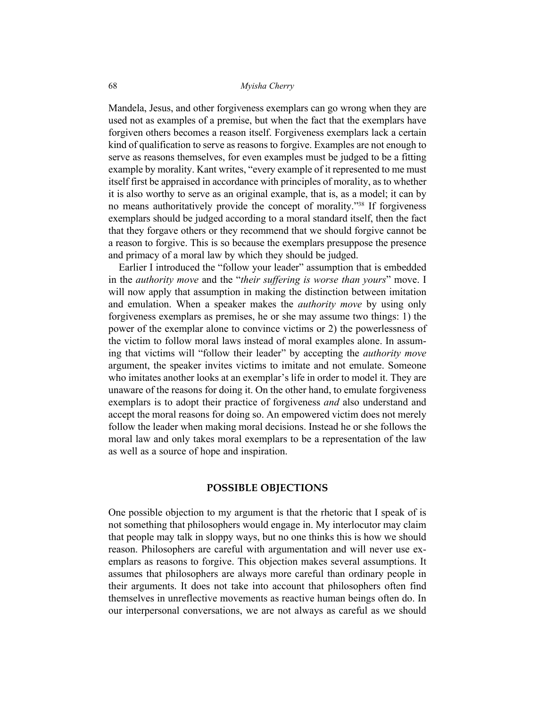Mandela, Jesus, and other forgiveness exemplars can go wrong when they are used not as examples of a premise, but when the fact that the exemplars have forgiven others becomes a reason itself. Forgiveness exemplars lack a certain kind of qualification to serve as reasons to forgive. Examples are not enough to serve as reasons themselves, for even examples must be judged to be a fitting example by morality. Kant writes, "every example of it represented to me must itself first be appraised in accordance with principles of morality, as to whether it is also worthy to serve as an original example, that is, as a model; it can by no means authoritatively provide the concept of morality."38 If forgiveness exemplars should be judged according to a moral standard itself, then the fact that they forgave others or they recommend that we should forgive cannot be a reason to forgive. This is so because the exemplars presuppose the presence and primacy of a moral law by which they should be judged.

Earlier I introduced the "follow your leader" assumption that is embedded in the *authority move* and the "*their suffering is worse than yours*" move. I will now apply that assumption in making the distinction between imitation and emulation. When a speaker makes the *authority move* by using only forgiveness exemplars as premises, he or she may assume two things: 1) the power of the exemplar alone to convince victims or 2) the powerlessness of the victim to follow moral laws instead of moral examples alone. In assuming that victims will "follow their leader" by accepting the *authority move* argument, the speaker invites victims to imitate and not emulate. Someone who imitates another looks at an exemplar's life in order to model it. They are unaware of the reasons for doing it. On the other hand, to emulate forgiveness exemplars is to adopt their practice of forgiveness *and* also understand and accept the moral reasons for doing so. An empowered victim does not merely follow the leader when making moral decisions. Instead he or she follows the moral law and only takes moral exemplars to be a representation of the law as well as a source of hope and inspiration.

## **POSSIBLE OBJECTIONS**

One possible objection to my argument is that the rhetoric that I speak of is not something that philosophers would engage in. My interlocutor may claim that people may talk in sloppy ways, but no one thinks this is how we should reason. Philosophers are careful with argumentation and will never use exemplars as reasons to forgive. This objection makes several assumptions. It assumes that philosophers are always more careful than ordinary people in their arguments. It does not take into account that philosophers often find themselves in unreflective movements as reactive human beings often do. In our interpersonal conversations, we are not always as careful as we should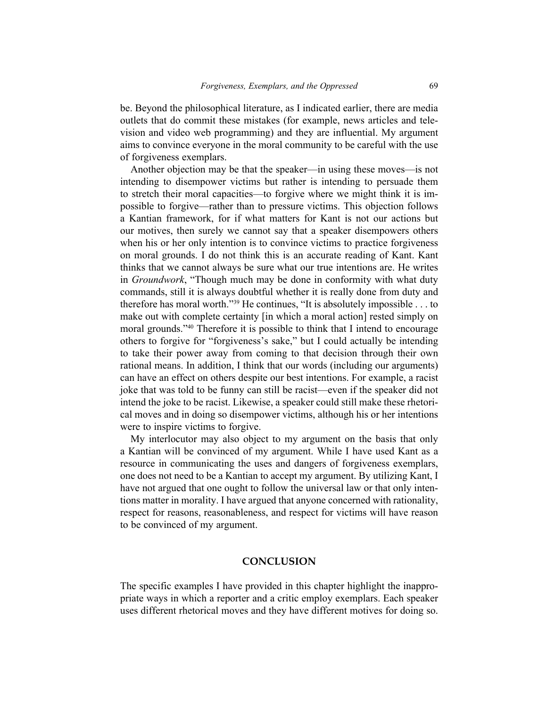be. Beyond the philosophical literature, as I indicated earlier, there are media outlets that do commit these mistakes (for example, news articles and television and video web programming) and they are influential. My argument aims to convince everyone in the moral community to be careful with the use of forgiveness exemplars.

Another objection may be that the speaker—in using these moves—is not intending to disempower victims but rather is intending to persuade them to stretch their moral capacities—to forgive where we might think it is impossible to forgive—rather than to pressure victims. This objection follows a Kantian framework, for if what matters for Kant is not our actions but our motives, then surely we cannot say that a speaker disempowers others when his or her only intention is to convince victims to practice forgiveness on moral grounds. I do not think this is an accurate reading of Kant. Kant thinks that we cannot always be sure what our true intentions are. He writes in *Groundwork*, "Though much may be done in conformity with what duty commands, still it is always doubtful whether it is really done from duty and therefore has moral worth."39 He continues, "It is absolutely impossible . . . to make out with complete certainty [in which a moral action] rested simply on moral grounds."40 Therefore it is possible to think that I intend to encourage others to forgive for "forgiveness's sake," but I could actually be intending to take their power away from coming to that decision through their own rational means. In addition, I think that our words (including our arguments) can have an effect on others despite our best intentions. For example, a racist joke that was told to be funny can still be racist—even if the speaker did not intend the joke to be racist. Likewise, a speaker could still make these rhetorical moves and in doing so disempower victims, although his or her intentions were to inspire victims to forgive.

My interlocutor may also object to my argument on the basis that only a Kantian will be convinced of my argument. While I have used Kant as a resource in communicating the uses and dangers of forgiveness exemplars, one does not need to be a Kantian to accept my argument. By utilizing Kant, I have not argued that one ought to follow the universal law or that only intentions matter in morality. I have argued that anyone concerned with rationality, respect for reasons, reasonableness, and respect for victims will have reason to be convinced of my argument.

## **CONCLUSION**

The specific examples I have provided in this chapter highlight the inappropriate ways in which a reporter and a critic employ exemplars. Each speaker uses different rhetorical moves and they have different motives for doing so.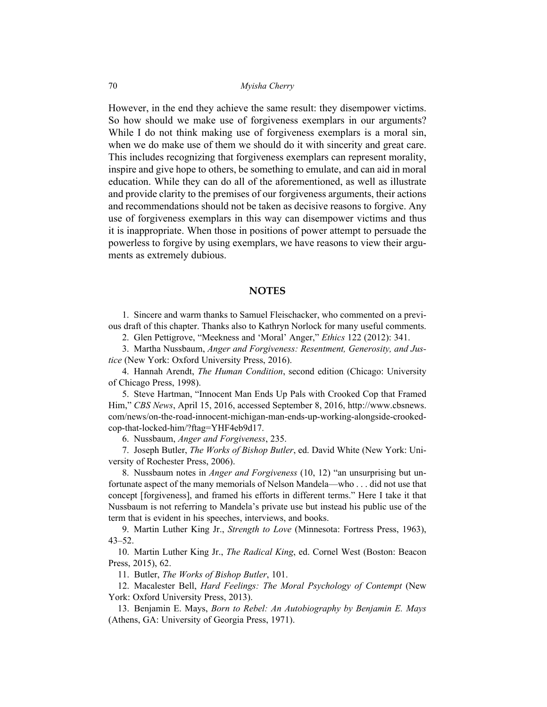However, in the end they achieve the same result: they disempower victims. So how should we make use of forgiveness exemplars in our arguments? While I do not think making use of forgiveness exemplars is a moral sin, when we do make use of them we should do it with sincerity and great care. This includes recognizing that forgiveness exemplars can represent morality, inspire and give hope to others, be something to emulate, and can aid in moral education. While they can do all of the aforementioned, as well as illustrate and provide clarity to the premises of our forgiveness arguments, their actions and recommendations should not be taken as decisive reasons to forgive. Any use of forgiveness exemplars in this way can disempower victims and thus it is inappropriate. When those in positions of power attempt to persuade the powerless to forgive by using exemplars, we have reasons to view their arguments as extremely dubious.

## **NOTES**

1. Sincere and warm thanks to Samuel Fleischacker, who commented on a previous draft of this chapter. Thanks also to Kathryn Norlock for many useful comments.

2. Glen Pettigrove, "Meekness and 'Moral' Anger," *Ethics* 122 (2012): 341.

3. Martha Nussbaum, *Anger and Forgiveness: Resentment, Generosity, and Justice* (New York: Oxford University Press, 2016).

4. Hannah Arendt, *The Human Condition*, second edition (Chicago: University of Chicago Press, 1998).

5. Steve Hartman, "Innocent Man Ends Up Pals with Crooked Cop that Framed Him," *CBS News*, April 15, 2016, accessed September 8, 2016, http://www.cbsnews. com/news/on-the-road-innocent-michigan-man-ends-up-working-alongside-crookedcop-that-locked-him/?ftag=YHF4eb9d17.

6. Nussbaum, *Anger and Forgiveness*, 235.

7. Joseph Butler, *The Works of Bishop Butler*, ed. David White (New York: University of Rochester Press, 2006).

8. Nussbaum notes in *Anger and Forgiveness* (10, 12) "an unsurprising but unfortunate aspect of the many memorials of Nelson Mandela—who . . . did not use that concept [forgiveness], and framed his efforts in different terms." Here I take it that Nussbaum is not referring to Mandela's private use but instead his public use of the term that is evident in his speeches, interviews, and books.

9. Martin Luther King Jr., *Strength to Love* (Minnesota: Fortress Press, 1963), 43–52.

10. Martin Luther King Jr., *The Radical King*, ed. Cornel West (Boston: Beacon Press, 2015), 62.

11. Butler, *The Works of Bishop Butler*, 101.

12. Macalester Bell, *Hard Feelings: The Moral Psychology of Contempt* (New York: Oxford University Press, 2013).

13. Benjamin E. Mays, *Born to Rebel: An Autobiography by Benjamin E. Mays* (Athens, GA: University of Georgia Press, 1971).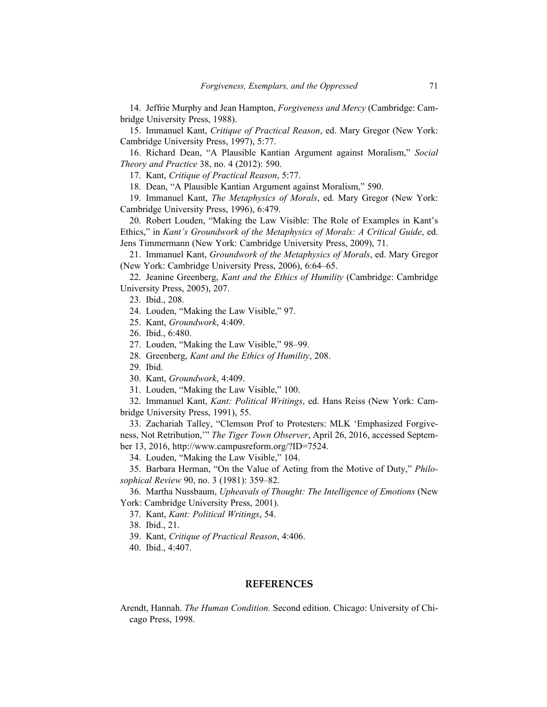14. Jeffrie Murphy and Jean Hampton, *Forgiveness and Mercy* (Cambridge: Cambridge University Press, 1988).

15. Immanuel Kant, *Critique of Practical Reason*, ed. Mary Gregor (New York: Cambridge University Press, 1997), 5:77.

16. Richard Dean, "A Plausible Kantian Argument against Moralism," *Social Theory and Practice* 38, no. 4 (2012): 590.

17. Kant, *Critique of Practical Reason*, 5:77.

18. Dean, "A Plausible Kantian Argument against Moralism," 590.

19. Immanuel Kant, *The Metaphysics of Morals*, ed. Mary Gregor (New York: Cambridge University Press, 1996), 6:479.

20. Robert Louden, "Making the Law Visible: The Role of Examples in Kant's Ethics," in *Kant's Groundwork of the Metaphysics of Morals: A Critical Guide*, ed. Jens Timmermann (New York: Cambridge University Press, 2009), 71.

21. Immanuel Kant, *Groundwork of the Metaphysics of Morals*, ed. Mary Gregor (New York: Cambridge University Press, 2006), 6:64–65.

22. Jeanine Greenberg, *Kant and the Ethics of Humility* (Cambridge: Cambridge University Press, 2005), 207.

23. Ibid., 208.

24. Louden, "Making the Law Visible," 97.

25. Kant, *Groundwork*, 4:409.

26. Ibid., 6:480.

27. Louden, "Making the Law Visible," 98–99.

28. Greenberg, *Kant and the Ethics of Humility*, 208.

29. Ibid.

30. Kant, *Groundwork*, 4:409.

31. Louden, "Making the Law Visible," 100.

32. Immanuel Kant, *Kant: Political Writings*, ed. Hans Reiss (New York: Cambridge University Press, 1991), 55.

33. Zachariah Talley, "Clemson Prof to Protesters: MLK 'Emphasized Forgiveness, Not Retribution,'" *The Tiger Town Observer*, April 26, 2016, accessed September 13, 2016, http://www.campusreform.org/?ID=7524.

34. Louden, "Making the Law Visible," 104.

35. Barbara Herman, "On the Value of Acting from the Motive of Duty," *Philosophical Review* 90, no. 3 (1981): 359–82.

36. Martha Nussbaum, *Upheavals of Thought: The Intelligence of Emotions* (New York: Cambridge University Press, 2001).

37. Kant, *Kant: Political Writings*, 54.

38. Ibid., 21.

39. Kant, *Critique of Practical Reason*, 4:406.

40. Ibid., 4:407.

#### **REFERENCES**

Arendt, Hannah. *The Human Condition.* Second edition. Chicago: University of Chicago Press, 1998.